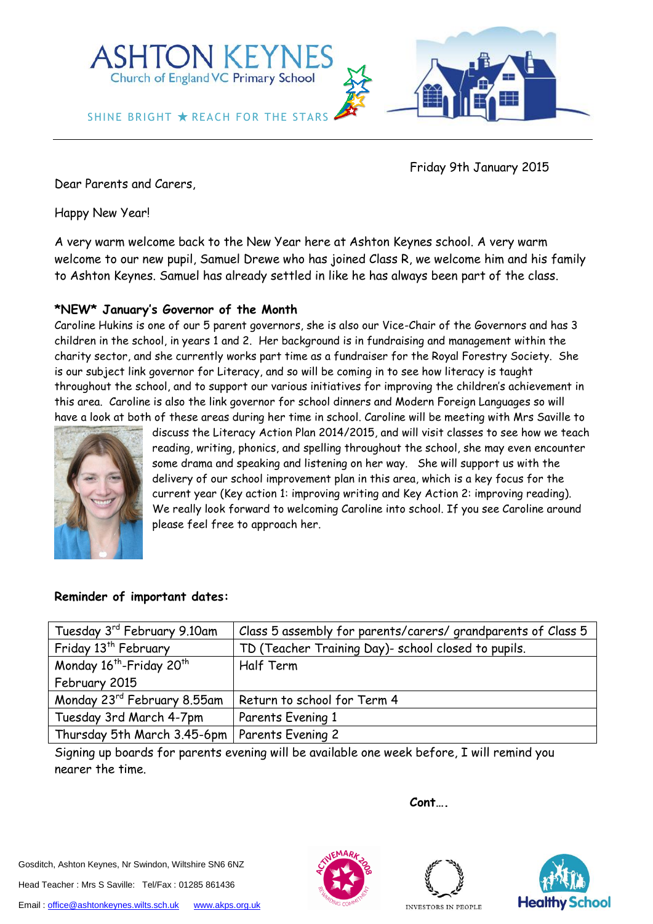

Friday 9th January 2015

Dear Parents and Carers,

Happy New Year!

A very warm welcome back to the New Year here at Ashton Keynes school. A very warm welcome to our new pupil, Samuel Drewe who has joined Class R, we welcome him and his family to Ashton Keynes. Samuel has already settled in like he has always been part of the class.

## **\*NEW\* January's Governor of the Month**

Caroline Hukins is one of our 5 parent governors, she is also our Vice-Chair of the Governors and has 3 children in the school, in years 1 and 2. Her background is in fundraising and management within the charity sector, and she currently works part time as a fundraiser for the Royal Forestry Society. She is our subject link governor for Literacy, and so will be coming in to see how literacy is taught throughout the school, and to support our various initiatives for improving the children's achievement in this area. Caroline is also the link governor for school dinners and Modern Foreign Languages so will have a look at both of these areas during her time in school. Caroline will be meeting with Mrs Saville to



discuss the Literacy Action Plan 2014/2015, and will visit classes to see how we teach reading, writing, phonics, and spelling throughout the school, she may even encounter some drama and speaking and listening on her way. She will support us with the delivery of our school improvement plan in this area, which is a key focus for the current year (Key action 1: improving writing and Key Action 2: improving reading). We really look forward to welcoming Caroline into school. If you see Caroline around please feel free to approach her.

## **Reminder of important dates:**

| Tuesday 3rd February 9.10am                      | Class 5 assembly for parents/carers/grandparents of Class 5 |
|--------------------------------------------------|-------------------------------------------------------------|
| Friday 13 <sup>th</sup> February                 | TD (Teacher Training Day)- school closed to pupils.         |
| Monday 16 <sup>th</sup> -Friday 20 <sup>th</sup> | Half Term                                                   |
| February 2015                                    |                                                             |
| Monday 23 <sup>rd</sup> February 8.55am          | Return to school for Term 4                                 |
| Tuesday 3rd March 4-7pm                          | Parents Evening 1                                           |
| Thursday 5th March 3.45-6pm   Parents Evening 2  |                                                             |

Signing up boards for parents evening will be available one week before, I will remind you nearer the time.

Gosditch, Ashton Keynes, Nr Swindon, Wiltshire SN6 6NZ

Head Teacher : Mrs S Saville: Tel/Fax : 01285 861436





**Cont….**

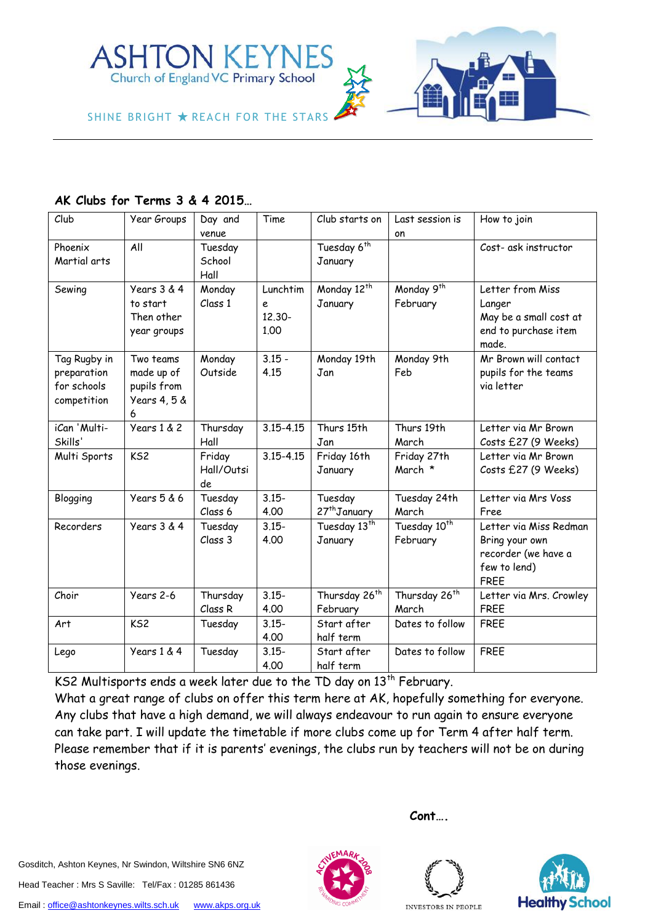

SHINE BRIGHT  $\bigstar$  reach for the stars



**AK Clubs for Terms 3 & 4 2015…**

| Club                                                      | Year Groups                                                 | Day and<br>venue           | Time                            | Club starts on                        | Last session is<br>on                | How to join                                                                                    |
|-----------------------------------------------------------|-------------------------------------------------------------|----------------------------|---------------------------------|---------------------------------------|--------------------------------------|------------------------------------------------------------------------------------------------|
| Phoenix<br>Martial arts                                   | All                                                         | Tuesday<br>School<br>Hall  |                                 | Tuesday 6 <sup>th</sup><br>January    |                                      | Cost- ask instructor                                                                           |
| Sewing                                                    | Years 3 & 4<br>to start<br>Then other<br>year groups        | Monday<br>Class 1          | Lunchtim<br>e<br>12,30-<br>1.00 | Monday 12 <sup>th</sup><br>January    | Monday 9 <sup>th</sup><br>February   | Letter from Miss<br>Langer<br>May be a small cost at<br>end to purchase item<br>made.          |
| Tag Rugby in<br>preparation<br>for schools<br>competition | Two teams<br>made up of<br>pupils from<br>Years 4, 5 &<br>6 | Monday<br>Outside          | $3.15 -$<br>4.15                | Monday 19th<br>Jan                    | Monday 9th<br>Feb                    | Mr Brown will contact<br>pupils for the teams<br>via letter                                    |
| iCan 'Multi-<br>Skills'                                   | Years 1 & 2                                                 | Thursday<br>Hall           | $3.15 - 4.15$                   | Thurs 15th<br>Jan                     | Thurs 19th<br>March                  | Letter via Mr Brown<br>Costs £27 (9 Weeks)                                                     |
| Multi Sports                                              | KS <sub>2</sub>                                             | Friday<br>Hall/Outsi<br>de | $3.15 - 4.15$                   | Friday 16th<br>January                | Friday 27th<br>March *               | Letter via Mr Brown<br>Costs £27 (9 Weeks)                                                     |
| Blogging                                                  | Years 5 & 6                                                 | Tuesday<br>Class 6         | $3.15 -$<br>4.00                | Tuesday<br>27 <sup>th</sup> January   | Tuesday 24th<br>March                | Letter via Mrs Voss<br>Free                                                                    |
| Recorders                                                 | Years 3 & 4                                                 | Tuesday<br>Class 3         | $3.15 -$<br>4.00                | Tuesday 13 <sup>th</sup><br>January   | Tuesday 10 <sup>th</sup><br>February | Letter via Miss Redman<br>Bring your own<br>recorder (we have a<br>few to lend)<br><b>FREE</b> |
| Choir                                                     | Years 2-6                                                   | Thursday<br>Class R        | $3.15 -$<br>4.00                | Thursday 26 <sup>th</sup><br>February | Thursday 26 <sup>th</sup><br>March   | Letter via Mrs. Crowley<br><b>FREE</b>                                                         |
| Art                                                       | KS <sub>2</sub>                                             | Tuesday                    | $3.15 -$<br>4.00                | Start after<br>half term              | Dates to follow                      | <b>FREE</b>                                                                                    |
| Lego                                                      | Years 1 & 4                                                 | Tuesday                    | $3.15 -$<br>4.00                | Start after<br>half term              | Dates to follow                      | <b>FREE</b>                                                                                    |

KS2 Multisports ends a week later due to the TD day on 13<sup>th</sup> February.

What a great range of clubs on offer this term here at AK, hopefully something for everyone. Any clubs that have a high demand, we will always endeavour to run again to ensure everyone can take part. I will update the timetable if more clubs come up for Term 4 after half term. Please remember that if it is parents' evenings, the clubs run by teachers will not be on during those evenings.

Gosditch, Ashton Keynes, Nr Swindon, Wiltshire SN6 6NZ Head Teacher : Mrs S Saville: Tel/Fax : 01285 861436





**Cont….**



INVESTORS IN PEOPLE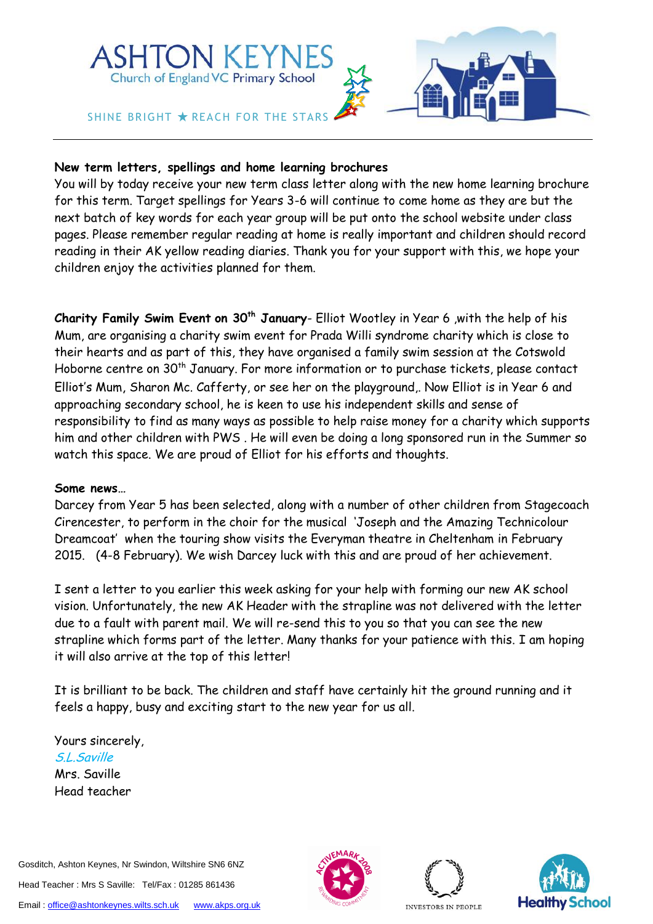

## **New term letters, spellings and home learning brochures**

You will by today receive your new term class letter along with the new home learning brochure for this term. Target spellings for Years 3-6 will continue to come home as they are but the next batch of key words for each year group will be put onto the school website under class pages. Please remember regular reading at home is really important and children should record reading in their AK yellow reading diaries. Thank you for your support with this, we hope your children enjoy the activities planned for them.

**Charity Family Swim Event on 30th January**- Elliot Wootley in Year 6 ,with the help of his Mum, are organising a charity swim event for Prada Willi syndrome charity which is close to their hearts and as part of this, they have organised a family swim session at the Cotswold Hoborne centre on 30<sup>th</sup> January. For more information or to purchase tickets, please contact Elliot's Mum, Sharon Mc. Cafferty, or see her on the playground,. Now Elliot is in Year 6 and approaching secondary school, he is keen to use his independent skills and sense of responsibility to find as many ways as possible to help raise money for a charity which supports him and other children with PWS . He will even be doing a long sponsored run in the Summer so watch this space. We are proud of Elliot for his efforts and thoughts.

## **Some news…**

Darcey from Year 5 has been selected, along with a number of other children from Stagecoach Cirencester, to perform in the choir for the musical 'Joseph and the Amazing Technicolour Dreamcoat' when the touring show visits the Everyman theatre in Cheltenham in February 2015. (4-8 February). We wish Darcey luck with this and are proud of her achievement.

I sent a letter to you earlier this week asking for your help with forming our new AK school vision. Unfortunately, the new AK Header with the strapline was not delivered with the letter due to a fault with parent mail. We will re-send this to you so that you can see the new strapline which forms part of the letter. Many thanks for your patience with this. I am hoping it will also arrive at the top of this letter!

It is brilliant to be back. The children and staff have certainly hit the ground running and it feels a happy, busy and exciting start to the new year for us all.

Yours sincerely, S.L.Saville Mrs. Saville Head teacher

Gosditch, Ashton Keynes, Nr Swindon, Wiltshire SN6 6NZ Head Teacher : Mrs S Saville: Tel/Fax : 01285 861436 Email[: office@ashtonkeynes.wilts.sch.uk](mailto:office@ashtonkeynes.wilts.sch.uk) [www.akps.org.uk](http://www.akps.org.uk/)